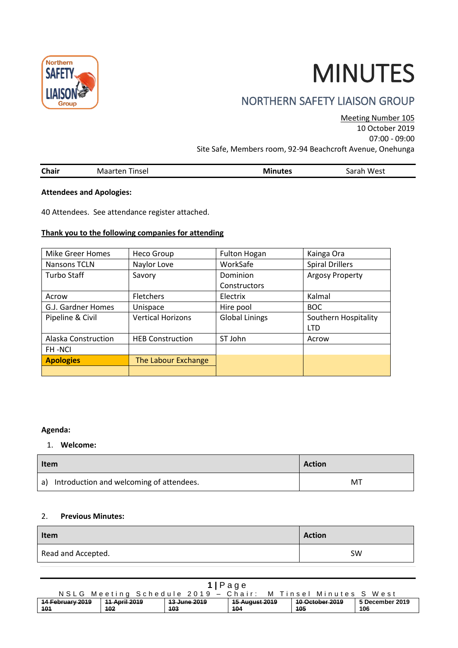

# MINUTES

# NORTHERN SAFETY LIAISON GROUP

Meeting Number 105 10 October 2019

07:00 - 09:00

Site Safe, Members room, 92-94 Beachcroft Avenue, Onehunga

|  | <b>Chair</b> | Tinsel<br>Maarten | nutes<br>MI<br>. | West<br>sarah |
|--|--------------|-------------------|------------------|---------------|
|--|--------------|-------------------|------------------|---------------|

#### **Attendees and Apologies:**

40 Attendees. See attendance register attached.

## **Thank you to the following companies for attending**

| <b>Mike Greer Homes</b> | Heco Group               | <b>Fulton Hogan</b>   | Kainga Ora             |
|-------------------------|--------------------------|-----------------------|------------------------|
| Nansons TCLN            | Naylor Love              | WorkSafe              | <b>Spiral Drillers</b> |
| <b>Turbo Staff</b>      | Savory                   | Dominion              | <b>Argosy Property</b> |
|                         |                          | Constructors          |                        |
| Acrow                   | Fletchers                | Electrix              | Kalmal                 |
| G.J. Gardner Homes      | Unispace                 | Hire pool             | <b>BOC</b>             |
| Pipeline & Civil        | <b>Vertical Horizons</b> | <b>Global Linings</b> | Southern Hospitality   |
|                         |                          |                       | <b>LTD</b>             |
| Alaska Construction     | <b>HEB Construction</b>  | ST John               | Acrow                  |
| <b>FH-NCI</b>           |                          |                       |                        |
| <b>Apologies</b>        | The Labour Exchange      |                       |                        |
|                         |                          |                       |                        |

#### **Agenda:**

#### 1. **Welcome:**

| <b>Item</b>                                 | <b>Action</b> |  |
|---------------------------------------------|---------------|--|
| a) Introduction and welcoming of attendees. | MT            |  |

#### 2. **Previous Minutes:**

| Item               | <b>Action</b> |
|--------------------|---------------|
| Read and Accepted. | <b>SW</b>     |

| $1$  Page                                                   |               |                         |                           |                        |                 |  |
|-------------------------------------------------------------|---------------|-------------------------|---------------------------|------------------------|-----------------|--|
| NSLG Meeting Schedule 2019 - Chair: M Tinsel Minutes S West |               |                         |                           |                        |                 |  |
| 14 February 2019                                            | 11 April 2019 | <del>13 June 2019</del> | <del>15 August 2019</del> | <b>10 October 2019</b> | 5 December 2019 |  |
| 101                                                         | 102           | 103                     | 104                       | 105                    | 106             |  |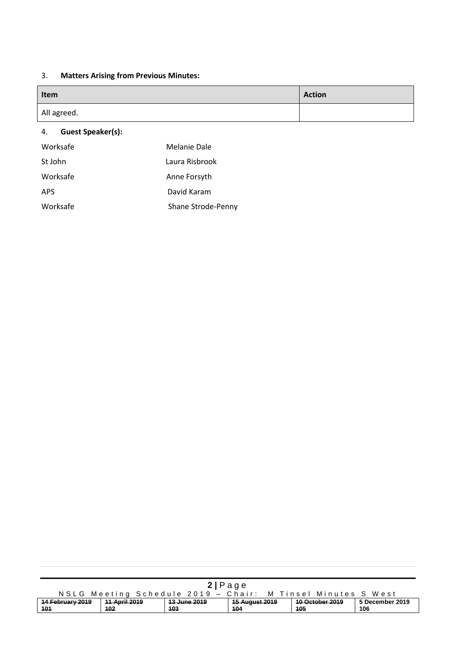## 3. **Matters Arising from Previous Minutes:**

| Item        | <b>Action</b> |
|-------------|---------------|
| All agreed. |               |
|             |               |

## 4. **Guest Speaker(s):**

| Worksafe   | Melanie Dale       |
|------------|--------------------|
| St John    | Laura Risbrook     |
| Worksafe   | Anne Forsyth       |
| <b>APS</b> | David Karam        |
| Worksafe   | Shane Strode-Penny |
|            |                    |

| 2 Page                                                      |               |              |                           |                 |                 |  |
|-------------------------------------------------------------|---------------|--------------|---------------------------|-----------------|-----------------|--|
| NSLG Meeting Schedule 2019 - Chair: M Tinsel Minutes S West |               |              |                           |                 |                 |  |
| 14 February 2019                                            | 11 April 2019 | 13 June 2019 | <del>15 August 2019</del> | 10 October 2019 | 5 December 2019 |  |
| 101                                                         | 102           | 103          | 104                       | 105             | 106             |  |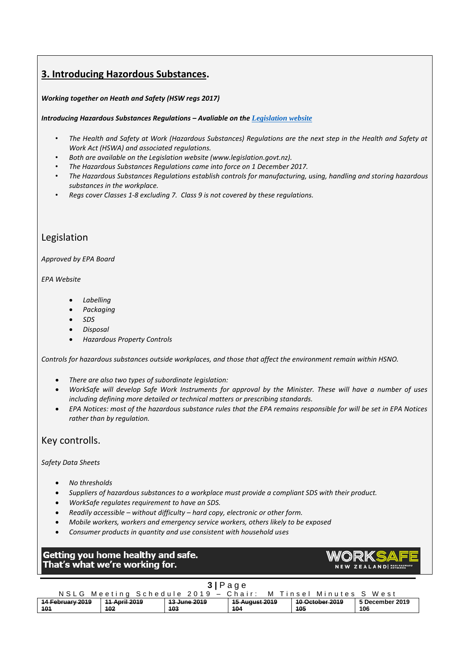## **3. Introducing Hazordous Substances.**

#### *Working together on Heath and Safety (HSW regs 2017)*

#### *Introducing Hazardous Substances Regulations – Avaliable on the [Legislation website](http://www.legislation.govt.nz/regulation/public/2017/0131/latest/DLM7309401.html?src=qs)*

- *The Health and Safety at Work (Hazardous Substances) Regulations are the next step in the Health and Safety at Work Act (HSWA) and associated regulations.*
- *Both are available on the Legislation website (www.legislation.govt.nz).*
- *The Hazardous Substances Regulations came into force on 1 December 2017.*
- *The Hazardous Substances Regulations establish controls for manufacturing, using, handling and storing hazardous substances in the workplace.*
- *Regs cover Classes 1-8 excluding 7. Class 9 is not covered by these regulations.*

## Legislation

#### *Approved by EPA Board*

#### *EPA Website*

- *Labelling*
- *Packaging*
- *SDS*
- *Disposal*
- *Hazardous Property Controls*

*Controls for hazardous substances outside workplaces, and those that affect the environment remain within HSNO.* 

- *There are also two types of subordinate legislation:*
- *WorkSafe will develop Safe Work Instruments for approval by the Minister. These will have a number of uses including defining more detailed or technical matters or prescribing standards.*
- *EPA Notices: most of the hazardous substance rules that the EPA remains responsible for will be set in EPA Notices rather than by regulation.*

## Key controlls.

#### *Safety Data Sheets*

- *No thresholds*
- *Suppliers of hazardous substances to a workplace must provide a compliant SDS with their product.*
- *WorkSafe regulates requirement to have an SDS.*
- *Readily accessible – without difficulty – hard copy, electronic or other form.*
- *Mobile workers, workers and emergency service workers, others likely to be exposed*
- *Consumer products in quantity and use consistent with household uses*

## Getting you home healthy and safe. That's what we're working for.



## **3 |** P a g e

|                  |               | NSLG Meeting Schedule 2019 - Chair: |                       | M Tinsel Minutes S West |                 |
|------------------|---------------|-------------------------------------|-----------------------|-------------------------|-----------------|
| 14 February 2019 | 11 April 2019 | <del>13 June 2019</del>             | <u>15 August 2019</u> | 10 October 2019         | 5 December 2019 |
| 101              | 102           | 103                                 | 104                   | 105                     | 106             |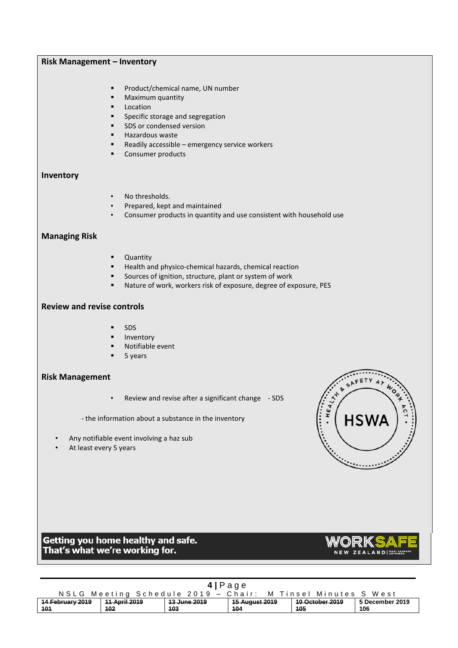#### **Risk Management – Inventory**

- Product/chemical name, UN number
- Maximum quantity
- Location
- Specific storage and segregation
- SDS or condensed version
- Hazardous waste
- Readily accessible emergency service workers
- Consumer products

## **Inventory**

- No thresholds.
- Prepared, kept and maintained
- Consumer products in quantity and use consistent with household use

#### **Managing Risk**

- Quantity
- Health and physico-chemical hazards, chemical reaction
- Sources of ignition, structure, plant or system of work
- Nature of work, workers risk of exposure, degree of exposure, PES

#### **Review and revise controls**

- **SDS**
- **Inventory**
- Notifiable event
- 5 years

#### **Risk Management**

- Review and revise after a significant change SDS
- the information about a substance in the inventory
- Any notifiable event involving a haz sub
- At least every 5 years

# FETY ςA  $\begin{pmatrix} 1 & 0 & 0 & 0 \\ 0 & 0 & 0 & 0 \\ 0 & 0 & 0 & 0 \\ 0 & 0 & 0 & 0 \\ 0 & 0 & 0 & 0 \\ 0 & 0 & 0 & 0 \\ 0 & 0 & 0 & 0 \\ 0 & 0 & 0 & 0 \\ 0 & 0 & 0 & 0 & 0 \\ 0 & 0 & 0 & 0 & 0 \\ 0 & 0 & 0 & 0 & 0 \\ 0 & 0 & 0 & 0 & 0 \\ 0 & 0 & 0 & 0 & 0 \\ 0 & 0 & 0 & 0 & 0 & 0 \\ 0 & 0 & 0 & 0 & 0 & 0 \\ 0 & 0 &$  $\begin{matrix}\n\vdots \\
\vdots \\
\vdots\n\end{matrix}$

## Getting you home healthy and safe. That's what we're working for.



| 4 Page                                                            |                             |                     |                              |                               |                        |
|-------------------------------------------------------------------|-----------------------------|---------------------|------------------------------|-------------------------------|------------------------|
| NSLG Meeting Schedule 2019 - Chair:<br>M Tinsel Minutes S<br>West |                             |                     |                              |                               |                        |
| 14 February 2019<br>101                                           | <b>11 April 2019</b><br>102 | 13 June 2019<br>103 | <b>15 August 2019</b><br>104 | <b>10 October 2019</b><br>105 | 5 December 2019<br>106 |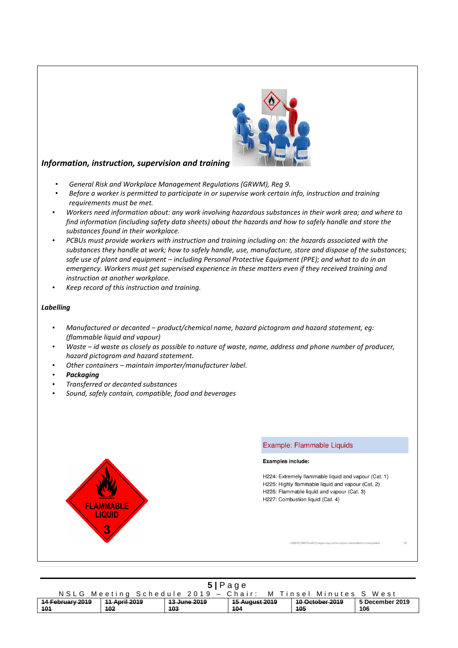

## *Information, instruction, supervision and training*

- *General Risk and Workplace Management Regulations (GRWM), Reg 9.*
- *Before a worker is permitted to participate in or supervise work certain info, instruction and training requirements must be met.*
- *Workers need information about: any work involving hazardous substances in their work area; and where to find information (including safety data sheets) about the hazards and how to safely handle and store the substances found in their workplace.*
- *PCBUs must provide workers with instruction and training including on: the hazards associated with the substances they handle at work; how to safely handle, use, manufacture, store and dispose of the substances; safe use of plant and equipment – including Personal Protective Equipment (PPE); and what to do in an emergency. Workers must get supervised experience in these matters even if they received training and instruction at another workplace.*
- *Keep record of this instruction and training.*

#### *Labelling*

- *Manufactured or decanted – product/chemical name, hazard pictogram and hazard statement, eg: (flammable liquid and vapour)*
- *Waste – id waste as closely as possible to nature of waste, name, address and phone number of producer, hazard pictogram and hazard statement.*
- *Other containers – maintain importer/manufacturer label.*
- *Packaging*
- *Transferred or decanted substances*
- *Sound, safely contain, compatible, food and beverages*



#### Example: Flammable Liquids

Examples include:

H224: Extremely flammable liquid and vapour (Cat. 1) H225: Highly flammable liquid and vapour (Cat. 2) H226: Flammable liquid and vapour (Cat. 3) H227: Combustion liquid (Cat. 4)

UNIDO | IAMCToolkit | Images may not be copied, transmi

| 5 Page                                                      |                       |                         |                |                        |                 |
|-------------------------------------------------------------|-----------------------|-------------------------|----------------|------------------------|-----------------|
| NSLG Meeting Schedule 2019 - Chair: M Tinsel Minutes S West |                       |                         |                |                        |                 |
| 14 February 2019                                            | <u> 11 April 2019</u> | <del>13 June 2019</del> | 15 August 2019 | <b>10 October 2019</b> | 5 December 2019 |
| 101                                                         | 102                   | 103                     | 104            | 105                    | 106             |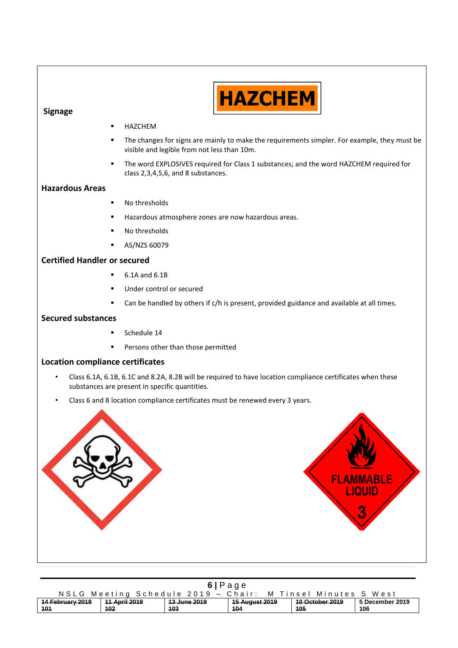

## **Signage**

- **HAZCHEM**
- The changes for signs are mainly to make the requirements simpler. For example, they must be visible and legible from not less than 10m.
- The word EXPLOSIVES required for Class 1 substances; and the word HAZCHEM required for class 2,3,4,5,6, and 8 substances.

## **Hazardous Areas**

- No thresholds
- Hazardous atmosphere zones are now hazardous areas.
- No thresholds
- AS/NZS 60079

## **Certified Handler or secured**

- 6.1A and 6.1B
- Under control or secured
- Can be handled by others if c/h is present, provided guidance and available at all times.

#### **Secured substances**

- Schedule 14
- Persons other than those permitted

#### **Location compliance certificates**

- Class 6.1A, 6.1B, 6.1C and 8.2A, 8.2B will be required to have location compliance certificates when these substances are present in specific quantities.
- Class 6 and 8 location compliance certificates must be renewed every 3 years.



| 6 Page                                                                                                                                     |     |     |     |     |     |
|--------------------------------------------------------------------------------------------------------------------------------------------|-----|-----|-----|-----|-----|
| NSLG Meeting Schedule 2019 - Chair:<br>M Tinsel Minutes S West                                                                             |     |     |     |     |     |
| 5 December 2019<br>14 February 2019<br><u>15 August 2019</u><br><b>10 October 2019</b><br><u> 11 April 2019</u><br><del>13 June 2019</del> |     |     |     |     |     |
| 101                                                                                                                                        | 102 | 103 | 104 | 105 | 106 |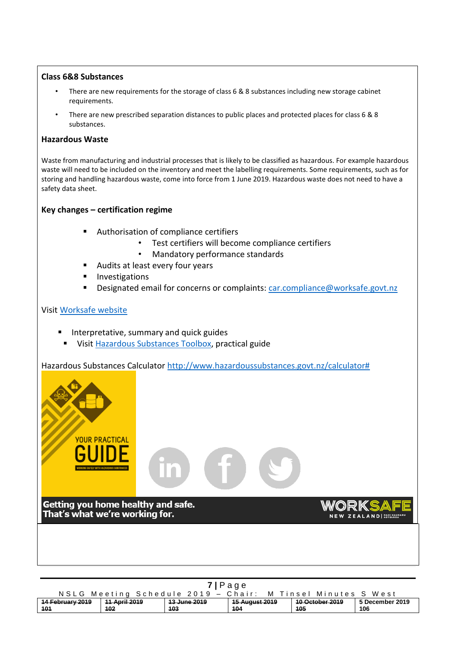## **Class 6&8 Substances**

- There are new requirements for the storage of class 6 & 8 substances including new storage cabinet requirements.
- There are new prescribed separation distances to public places and protected places for class 6 & 8 substances.

## **Hazardous Waste**

Waste from manufacturing and industrial processes that is likely to be classified as hazardous. For example hazardous waste will need to be included on the inventory and meet the labelling requirements. Some requirements, such as for storing and handling hazardous waste, come into force from 1 June 2019. Hazardous waste does not need to have a safety data sheet.

## **Key changes – certification regime**

- Authorisation of compliance certifiers
	- Test certifiers will become compliance certifiers
	- Mandatory performance standards
- Audits at least every four years
- **■** Investigations
- Designated email for concerns or complaints: [car.compliance@worksafe.govt.nz](mailto:car.compliance@worksafe.govt.nz)

## Visit [Worksafe](http://www.worksafe.govt.nz/worksafe/information-guidance/guidance-by-industry/hsno) [website](http://www.worksafe.govt.nz/worksafe/information-guidance/guidance-by-industry/hsno)

- Interpretative, summary and quick guides
- **EXP** Visit [Hazardous Substances Toolbox,](http://www.hazardoussubstances.govt.nz/) practical guide

Hazardous Substances Calculator [http://www.hazardoussubstances.govt.nz/calculator#](http://www.hazardoussubstances.govt.nz/calculator)



| 7 Page                                                      |               |              |                           |                        |                 |  |  |  |  |
|-------------------------------------------------------------|---------------|--------------|---------------------------|------------------------|-----------------|--|--|--|--|
| NSLG Meeting Schedule 2019 - Chair: M Tinsel Minutes S West |               |              |                           |                        |                 |  |  |  |  |
| 14 February 2019                                            | 11 April 2019 | 13 June 2019 | <del>15 August 2019</del> | <b>10 October 2019</b> | 5 December 2019 |  |  |  |  |
| 101                                                         | 102           | 103          | 104                       | 105                    | 106             |  |  |  |  |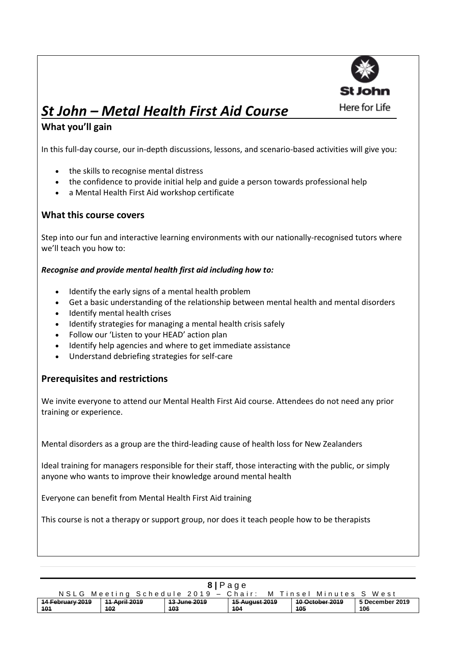

# *St John – Metal Health First Aid Course*

## **What you'll gain**

In this full-day course, our in-depth discussions, lessons, and scenario-based activities will give you:

- the skills to recognise mental distress
- the confidence to provide initial help and guide a person towards professional help
- a Mental Health First Aid workshop certificate

## **What this course covers**

Step into our fun and interactive learning environments with our nationally-recognised tutors where we'll teach you how to:

## *Recognise and provide mental health first aid including how to:*

- Identify the early signs of a mental health problem
- Get a basic understanding of the relationship between mental health and mental disorders
- Identify mental health crises
- Identify strategies for managing a mental health crisis safely
- Follow our 'Listen to your HEAD' action plan
- Identify help agencies and where to get immediate assistance
- Understand debriefing strategies for self-care

## **Prerequisites and restrictions**

We invite everyone to attend our Mental Health First Aid course. Attendees do not need any prior training or experience.

Mental disorders as a group are the third-leading cause of health loss for New Zealanders

Ideal training for managers responsible for their staff, those interacting with the public, or simply anyone who wants to improve their knowledge around mental health

Everyone can benefit from Mental Health First Aid training

This course is not a therapy or support group, nor does it teach people how to be therapists

| 8 Page           |                                                                  |              |                           |                        |                 |  |  |  |  |
|------------------|------------------------------------------------------------------|--------------|---------------------------|------------------------|-----------------|--|--|--|--|
|                  | NSLG Meeting Schedule 2019 - Chair:<br>- M Tinsel Minutes S West |              |                           |                        |                 |  |  |  |  |
| 14 February 2019 | <b>11 April 2019</b>                                             | 13 June 2019 | <del>15 August 2019</del> | <b>10 October 2019</b> | 5 December 2019 |  |  |  |  |
| 101              | 102                                                              | 103          | 104                       | 105                    | 106             |  |  |  |  |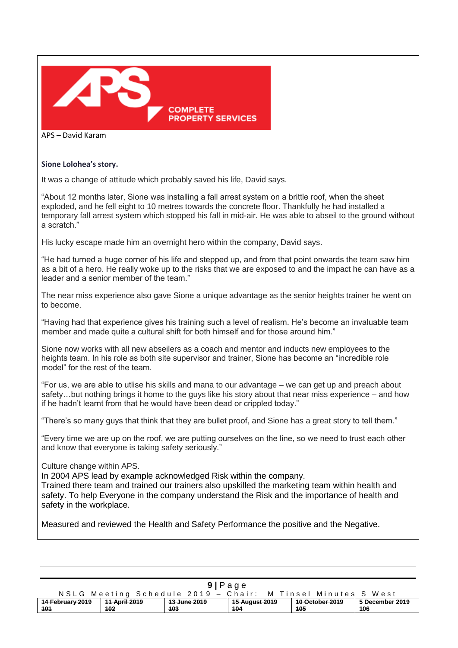

APS – David Karam

#### **Sione Lolohea's story.**

It was a change of attitude which probably saved his life, David says.

"About 12 months later, Sione was installing a fall arrest system on a brittle roof, when the sheet exploded, and he fell eight to 10 metres towards the concrete floor. Thankfully he had installed a temporary fall arrest system which stopped his fall in mid-air. He was able to abseil to the ground without a scratch."

His lucky escape made him an overnight hero within the company, David says.

"He had turned a huge corner of his life and stepped up, and from that point onwards the team saw him as a bit of a hero. He really woke up to the risks that we are exposed to and the impact he can have as a leader and a senior member of the team."

The near miss experience also gave Sione a unique advantage as the senior heights trainer he went on to become.

"Having had that experience gives his training such a level of realism. He's become an invaluable team member and made quite a cultural shift for both himself and for those around him."

Sione now works with all new abseilers as a coach and mentor and inducts new employees to the heights team. In his role as both site supervisor and trainer, Sione has become an "incredible role model" for the rest of the team.

"For us, we are able to utlise his skills and mana to our advantage – we can get up and preach about safety…but nothing brings it home to the guys like his story about that near miss experience – and how if he hadn't learnt from that he would have been dead or crippled today."

"There's so many guys that think that they are bullet proof, and Sione has a great story to tell them."

"Every time we are up on the roof, we are putting ourselves on the line, so we need to trust each other and know that everyone is taking safety seriously."

#### Culture change within APS.

In 2004 APS lead by example acknowledged Risk within the company.

Trained there team and trained our trainers also upskilled the marketing team within health and safety. To help Everyone in the company understand the Risk and the importance of health and safety in the workplace.

Measured and reviewed the Health and Safety Performance the positive and the Negative.

| 9 Page                                                      |                                                                                                                            |     |     |     |     |  |  |  |  |
|-------------------------------------------------------------|----------------------------------------------------------------------------------------------------------------------------|-----|-----|-----|-----|--|--|--|--|
| NSLG Meeting Schedule 2019 - Chair: M Tinsel Minutes S West |                                                                                                                            |     |     |     |     |  |  |  |  |
| 14 February 2019                                            | <b>10 October 2019</b><br><del>13 June 2019</del><br><del>15 August 2019</del><br>5 December 2019<br><u> 11 April 2019</u> |     |     |     |     |  |  |  |  |
| 101                                                         | 102                                                                                                                        | 103 | 104 | 105 | 106 |  |  |  |  |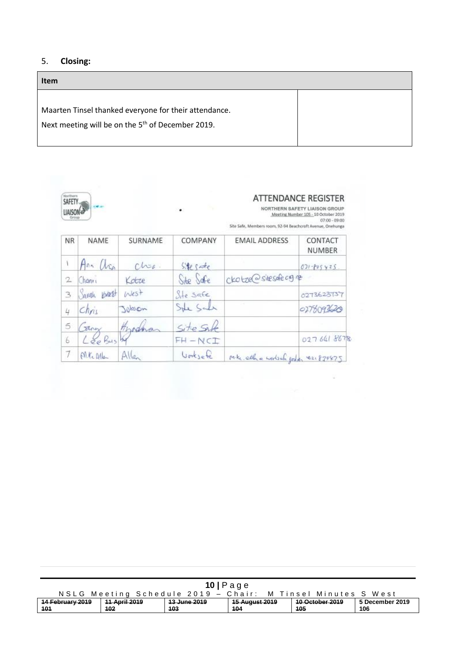## 5. **Closing:**

## **Item**

Maarten Tinsel thanked everyone for their attendance.

Next meeting will be on the  $5<sup>th</sup>$  of December 2019.



## **ATTENDANCE REGISTER**

NORTHERN SAFETY LIAISON GROUP<br>Meeting Number 105 - 10 October 2019<br>07:00 - 09:00 Site Safe, Members room, 92-94 Beachcroft Avenue, Onehunga

| <b>NR</b> | NAME              | SURNAME        | COMPANY    | <b>EMAIL ADDRESS</b>                | CONTACT<br><b>NUMBER</b> |
|-----------|-------------------|----------------|------------|-------------------------------------|--------------------------|
|           | Ann arn           | $chz_{\ell}$ . | Stegate    |                                     | $071 - 805425$           |
| 2         | Chanri            | Kotze          | Site Safe  | ckotze @ sitesafe og ne             |                          |
| 3         | Sarah 16/28+      | West           | Ste safe   |                                     | 0273623737               |
| 4         | chri <sub>s</sub> | Jobson         | Sole Sale  |                                     | 0278093620               |
| 5         | they              | Hrodna         | Site Salt  |                                     |                          |
| 6         | Lee Bus           |                | $FH - NCT$ |                                     | 0276618678               |
|           | Alte Mla          | Allen          | Vorksete   | Mike all a works of goddy es 879875 |                          |

| $10$   Page                                                    |                                                                                                         |     |     |     |     |  |  |  |  |
|----------------------------------------------------------------|---------------------------------------------------------------------------------------------------------|-----|-----|-----|-----|--|--|--|--|
| NSLG Meeting Schedule 2019 - Chair:<br>M Tinsel Minutes S West |                                                                                                         |     |     |     |     |  |  |  |  |
| 14 February 2019                                               | <b>10 October 2019</b><br>11 April 2019<br><del>15 August 2019</del><br>13 June 2019<br>5 December 2019 |     |     |     |     |  |  |  |  |
| 101                                                            | 102                                                                                                     | 103 | 104 | 105 | 106 |  |  |  |  |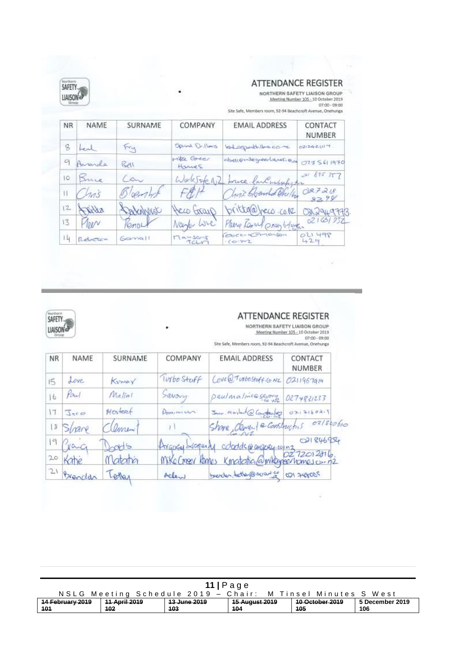| Netham<br>SAFETY<br><b>INISO</b><br>Green |         |         |                       | <b>ATTENDANCE REGISTER</b><br>Site Safe, Members room, 92-94 Beachcroft Avenue, Onehunga | NORTHERN SAFETY LIAISON GROUP<br>Meeting Number 105 - 10 October 2019<br>$07:00 - 09:00$ |
|-------------------------------------------|---------|---------|-----------------------|------------------------------------------------------------------------------------------|------------------------------------------------------------------------------------------|
| <b>NR</b>                                 | NAME    | SURNAME | COMPANY               | <b>EMAIL ADDRESS</b>                                                                     | CONTACT<br><b>NUMBER</b>                                                                 |
| 8                                         | $-$     | Fry     | Opinal Drilleys       | bed sport lescome                                                                        | 021242117                                                                                |
| 9                                         | tranda  | Rell    | witte Greer<br>Harves | abell onleged land. Our                                                                  | 0775611970                                                                               |
| IO.                                       | Bruce   | $\sim$  | Warlestere NZ         | bruce lackwabships                                                                       | 20885357                                                                                 |
| u                                         | 205     |         |                       | Luis Cloenhat Orilla                                                                     | 087218<br>82.9                                                                           |
| $12 -$                                    | 1.332   | VANNEU  | Neco Gray             | veco.co.re<br>tola                                                                       | 949778                                                                                   |
| 13                                        | 01/V    | mn.     | Nantur Lave           | Please Renact prosp before                                                               | 021631032                                                                                |
| 14                                        | Rebeten | Germall | $T = 50 - T$<br>TCLV  | Obec-C-10-Son<br>$10 - 10 = 2$                                                           | OLI 498<br>429                                                                           |



## **ATTENDANCE REGISTER**

 $\langle \alpha \rangle$ 

÷

NORTHERN SAFETY LIAISON GROUP<br>Meeting Number 105 - 10 October 2019<br>Site Safe, Members room, 92-94 Beachcroft Avenue, Onehunga

| <b>NR</b>     | NAME                         | SURNAME  | COMPANY     | <b>EMAIL ADDRESS</b>                                                                                | CONTACT<br><b>NUMBER</b> |
|---------------|------------------------------|----------|-------------|-----------------------------------------------------------------------------------------------------|--------------------------|
| 15            | Love                         | Kumay    | Turbo Steff | ( overa Turbostoff (o. NZ)                                                                          | 0211967914               |
| $\frac{1}{6}$ | Paul                         | Matini   | Savouy      | Daulmaline savoy                                                                                    | 0274831233               |
| 17            | $\Im$ <sub>25</sub> $\sigma$ | Mosteret | Dominium    | Jaco, Mastert@Contrology                                                                            | 0312160219               |
|               | 8 Share                      | Cement   |             | Shope demand a constructors                                                                         | 071800610                |
| 19            | Crac                         | pods     |             |                                                                                                     | 021846954                |
| 20            | Kahe                         | Matatra  |             | Argocy Liopenty colords @ argosy.com 2 1846954<br>Mike Creer Romes Kingtotia @ mikegeentomes co. n2 |                          |
| 21            | Brendar                      | Letlar   | Aclew       | breader, tetten@avanice                                                                             | 021248005                |

٠

| $11$  Page                                                     |                                                                                                                |     |     |     |     |  |  |  |
|----------------------------------------------------------------|----------------------------------------------------------------------------------------------------------------|-----|-----|-----|-----|--|--|--|
| NSLG Meeting Schedule 2019 - Chair:<br>M Tinsel Minutes S West |                                                                                                                |     |     |     |     |  |  |  |
| 14 February 2019                                               | <del>15 August 2019</del><br><b>10 October 2019</b><br><b>11 April 2019</b><br>13 June 2019<br>5 December 2019 |     |     |     |     |  |  |  |
| 101                                                            | 102                                                                                                            | 103 | 104 | 105 | 106 |  |  |  |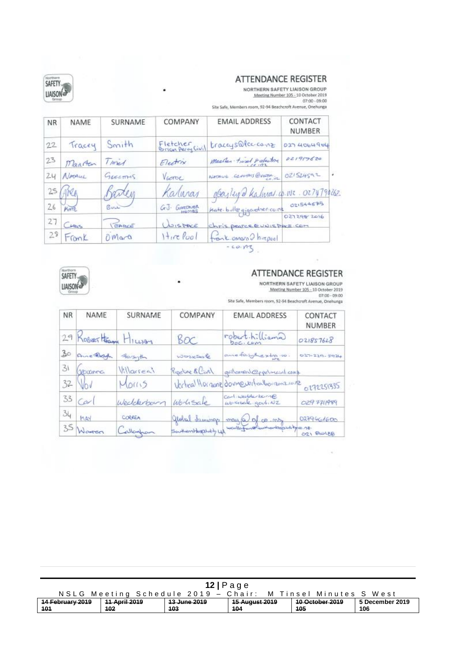## **ATTENDANCE REGISTER**

NORTHERN SAFETY LIAISON GROUP<br>Meeting Number 105 - 10 October 2019<br>07:00 - 09:00 Site Safe, Members room, 92-94 Beachcroft Avenue, Onehunga

| <b>NR</b> | NAME             | SURNAME  | COMPANY                       | <b>EMAIL ADDRESS</b>               | CONTACT<br>NUMBER |
|-----------|------------------|----------|-------------------------------|------------------------------------|-------------------|
| 22        | Tracey           | Smith    | Fletcher<br>Brian Perny Civil | traccysaleccome                    | 0274064904        |
| 23        | Maarten          | Times    | Electrix                      | Maarlen timel relation<br>112.111  | 021917620         |
| 24        | NATALL           | Guermis  | Viene                         | NATAUE GENERAL QUERE               | 021524592         |
| 25        | ABC <sub>A</sub> |          | Kaluran                       | obayleyed Kalmar.co.wr. 0274794262 |                   |
| 26        | KATE             | BULL     | G.J. GARDWER                  | Kate bulle gigandres come          | 021544675         |
| 27        | CHRIS            | CARCE    | WISPACE                       | Chris pearce @ UNIS PACE COM       | 021298-2016       |
| 29        | FromK            | $0$ Mara | $H_{1}$ re Pool               | front omoro D hirepool             |                   |



## **ATTENDANCE REGISTER**

NORTHERN SAFETY LIAISON GROUP Meeting Number 105 - 10 October 2019<br>07:00 - 09:00<br>ntom. 92-94 Reachtroft Avenue: Onebungs

×

 $B = 1$ ga

|  |  | site sale, members room, 92-94 Beachcroft Avenue, Onehung |  |
|--|--|-----------------------------------------------------------|--|
|  |  |                                                           |  |

| <b>NR</b> | NAME                  | SURNAME    | COMPANY               | <b>EMAIL ADDRESS</b>                        | CONTACT<br><b>NUMBER</b> |
|-----------|-----------------------|------------|-----------------------|---------------------------------------------|--------------------------|
|           | 29 Resert Ham Hillson |            | Boc                   | robert.hilliama<br>boc. com                 | 021857628                |
| 30        | Anchar                | Forsyth    | worksole              | anne faighering 10.                         | 027-229-5924             |
| 31        | Geranna               | Villarreal | Reporting & Curl      | galamed@ppelment.comp                       |                          |
|           | $32$ Vov              | Morris     |                       | Vertical Morganz dovereverticalhorizonzione | 0171151335               |
|           | $33$ $Ca^{-1}$        | Wedderbarn | Worksale              | Carlinkolderburn@<br>workede goutiNZ        | 029 7711989              |
| 34        | MAY                   | CORREA     |                       | global summer may to do my                  | 0279661600               |
|           | 35 Waren              | Callaghan  | SouthernHagshally LLA | waller in the content was the more          | 021 BIOLEB               |

| $12$   Page                                                 |                                                                                                         |     |     |     |     |  |  |  |  |
|-------------------------------------------------------------|---------------------------------------------------------------------------------------------------------|-----|-----|-----|-----|--|--|--|--|
| NSLG Meeting Schedule 2019 - Chair: M Tinsel Minutes S West |                                                                                                         |     |     |     |     |  |  |  |  |
| 14 February 2019                                            | <b>10 October 2019</b><br>11 April 2019<br>13 June 2019<br><del>15 August 2019</del><br>5 December 2019 |     |     |     |     |  |  |  |  |
| 101                                                         | 102                                                                                                     | 103 | 104 | 105 | 106 |  |  |  |  |